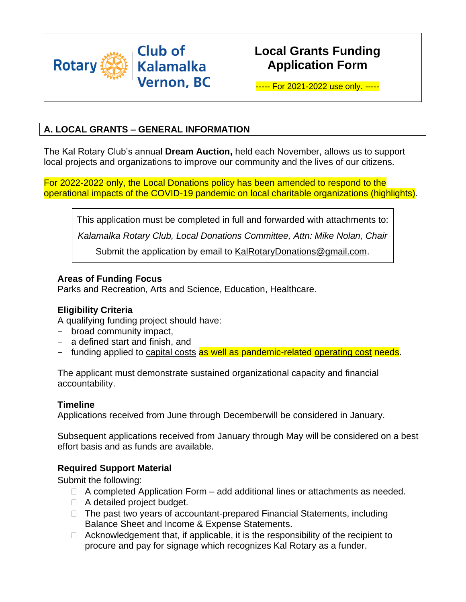

# **Local Grants Funding Application Form**

----- For 2021-2022 use only. -----

## **A. LOCAL GRANTS – GENERAL INFORMATION**

The Kal Rotary Club's annual **Dream Auction,** held each November, allows us to support local projects and organizations to improve our community and the lives of our citizens.

For 2022-2022 only, the Local Donations policy has been amended to respond to the operational impacts of the COVID-19 pandemic on local charitable organizations (highlights).

This application must be completed in full and forwarded with attachments to: *Kalamalka Rotary Club, Local Donations Committee, Attn: Mike Nolan, Chair* Submit the application by email to [KalRotaryDonations@gmail.com.](mailto:KalRotaryDonations@gmail.com)

#### **Areas of Funding Focus**

Parks and Recreation, Arts and Science, Education, Healthcare.

## **Eligibility Criteria**

A qualifying funding project should have:

- broad community impact,
- a defined start and finish, and
- funding applied to capital costs as well as pandemic-related operating cost needs.

The applicant must demonstrate sustained organizational capacity and financial accountability.

#### **Timeline**

Applications received from June through Decemberwill be considered in January.

Subsequent applications received from January through May will be considered on a best effort basis and as funds are available.

## **Required Support Material**

Submit the following:

- $\Box$  A completed Application Form add additional lines or attachments as needed.
- □ A detailed project budget.
- $\Box$  The past two years of accountant-prepared Financial Statements, including Balance Sheet and Income & Expense Statements.
- $\Box$  Acknowledgement that, if applicable, it is the responsibility of the recipient to procure and pay for signage which recognizes Kal Rotary as a funder.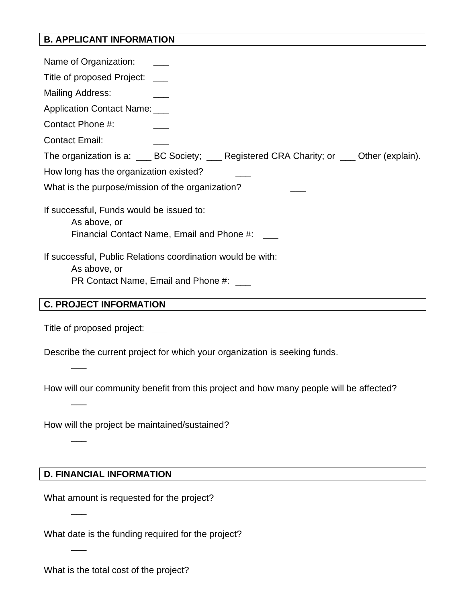## **B. APPLICANT INFORMATION**

Name of Organization: **\_\_\_** Title of proposed Project: **\_\_\_** Mailing Address: Application Contact Name: Contact Phone #: \_\_\_ Contact Email: The organization is a: \_\_\_ BC Society; \_\_\_ Registered CRA Charity; or \_\_\_ Other (explain). How long has the organization existed? What is the purpose/mission of the organization? If successful, Funds would be issued to: As above, or Financial Contact Name, Email and Phone #: \_\_\_ If successful, Public Relations coordination would be with: As above, or PR Contact Name, Email and Phone #: \_\_\_

## **C. PROJECT INFORMATION**

Title of proposed project: **\_\_\_**

 $\overline{\phantom{a}}$ 

 $\overline{\phantom{a}}$ 

 $\overline{\phantom{a}}$ 

 $\overline{\phantom{a}}$ 

 $\overline{\phantom{a}}$ 

Describe the current project for which your organization is seeking funds.

How will our community benefit from this project and how many people will be affected?

How will the project be maintained/sustained?

#### **D. FINANCIAL INFORMATION**

What amount is requested for the project?

What date is the funding required for the project?

What is the total cost of the project?